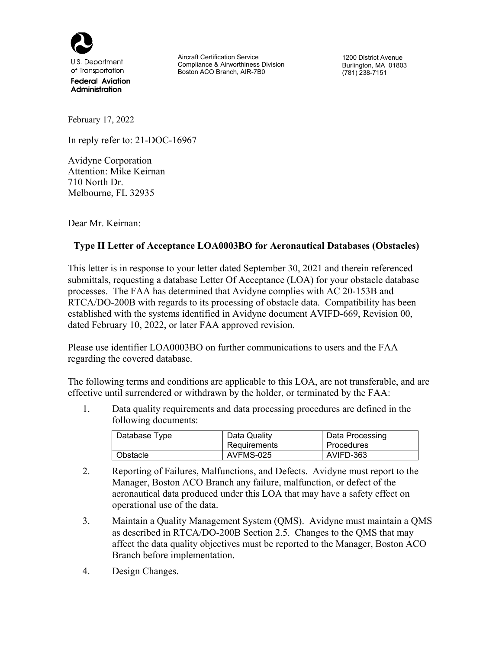

U.S. Department of Transportation

**Federal Aviation** Administration

Aircraft Certification Service Compliance & Airworthiness Division Boston ACO Branch, AIR-7B0

1200 District Avenue Burlington, MA 01803 (781) 238-7151

February 17, 2022

In reply refer to: 21-DOC-16967

Avidyne Corporation Attention: Mike Keirnan 710 North Dr. Melbourne, FL 32935

Dear Mr. Keirnan:

## **Type II Letter of Acceptance LOA0003BO for Aeronautical Databases (Obstacles)**

This letter is in response to your letter dated September 30, 2021 and therein referenced submittals, requesting a database Letter Of Acceptance (LOA) for your obstacle database processes. The FAA has determined that Avidyne complies with AC 20-153B and RTCA/DO-200B with regards to its processing of obstacle data. Compatibility has been established with the systems identified in Avidyne document AVIFD-669, Revision 00, dated February 10, 2022, or later FAA approved revision.

Please use identifier LOA0003BO on further communications to users and the FAA regarding the covered database.

The following terms and conditions are applicable to this LOA, are not transferable, and are effective until surrendered or withdrawn by the holder, or terminated by the FAA:

1. Data quality requirements and data processing procedures are defined in the following documents:

| Database Type | Data Quality<br>Requirements | Data Processing<br><b>Procedures</b> |
|---------------|------------------------------|--------------------------------------|
| Obstacle      | AVFMS-025                    | AVIFD-363                            |

- 2. Reporting of Failures, Malfunctions, and Defects. Avidyne must report to the Manager, Boston ACO Branch any failure, malfunction, or defect of the aeronautical data produced under this LOA that may have a safety effect on operational use of the data.
- 3. Maintain a Quality Management System (QMS). Avidyne must maintain a QMS as described in RTCA/DO-200B Section 2.5. Changes to the QMS that may affect the data quality objectives must be reported to the Manager, Boston ACO Branch before implementation.
- 4. Design Changes.